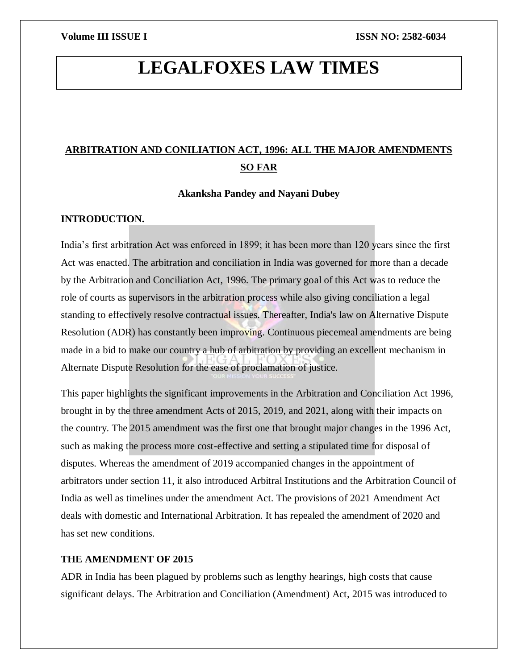# **LEGALFOXES LAW TIMES**

## **ARBITRATION AND CONILIATION ACT, 1996: ALL THE MAJOR AMENDMENTS SO FAR**

**Akanksha Pandey and Nayani Dubey**

### **INTRODUCTION.**

India's first arbitration Act was enforced in 1899; it has been more than 120 years since the first Act was enacted. The arbitration and conciliation in India was governed for more than a decade by the Arbitration and Conciliation Act, 1996. The primary goal of this Act was to reduce the role of courts as supervisors in the arbitration process while also giving conciliation a legal standing to effectively resolve contractual issues. Thereafter, India's law on Alternative Dispute Resolution (ADR) has constantly been improving. Continuous piecemeal amendments are being made in a bid to make our country a hub of arbitration by providing an excellent mechanism in Alternate Dispute Resolution for the ease of proclamation of justice.

This paper highlights the significant improvements in the Arbitration and Conciliation Act 1996, brought in by the three amendment Acts of 2015, 2019, and 2021, along with their impacts on the country. The 2015 amendment was the first one that brought major changes in the 1996 Act, such as making the process more cost-effective and setting a stipulated time for disposal of disputes. Whereas the amendment of 2019 accompanied changes in the appointment of arbitrators under section 11, it also introduced Arbitral Institutions and the Arbitration Council of India as well as timelines under the amendment Act. The provisions of 2021 Amendment Act deals with domestic and International Arbitration. It has repealed the amendment of 2020 and has set new conditions.

### **THE AMENDMENT OF 2015**

ADR in India has been plagued by problems such as lengthy hearings, high costs that cause significant delays. The Arbitration and Conciliation (Amendment) Act, 2015 was introduced to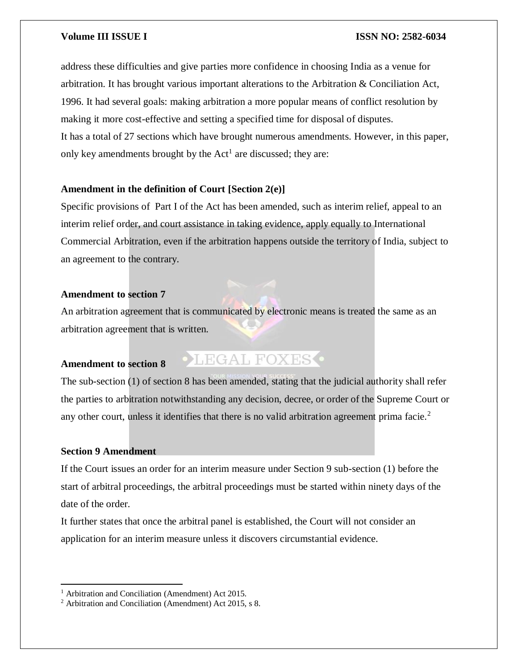address these difficulties and give parties more confidence in choosing India as a venue for arbitration. It has brought various important alterations to the Arbitration & Conciliation Act, 1996. It had several goals: making arbitration a more popular means of conflict resolution by making it more cost-effective and setting a specified time for disposal of disputes. It has a total of 27 sections which have brought numerous amendments. However, in this paper, only key amendments brought by the  $Act<sup>1</sup>$  are discussed; they are:

### **Amendment in the definition of Court [Section 2(e)]**

Specific provisions of Part I of the Act has been amended, such as interim relief, appeal to an interim relief order, and court assistance in taking evidence, apply equally to International Commercial Arbitration, even if the arbitration happens outside the territory of India, subject to an agreement to the contrary.

### **Amendment to section 7**

An arbitration agreement that is communicated by electronic means is treated the same as an arbitration agreement that is written.

### **Amendment to section 8**

## **OLEGAL FOXES**

The sub-section (1) of section 8 has been amended, stating that the judicial authority shall refer the parties to arbitration notwithstanding any decision, decree, or order of the Supreme Court or any other court, unless it identifies that there is no valid arbitration agreement prima facie.<sup>2</sup>

### **Section 9 Amendment**

 $\overline{\phantom{a}}$ 

If the Court issues an order for an interim measure under Section 9 sub-section (1) before the start of arbitral proceedings, the arbitral proceedings must be started within ninety days of the date of the order.

It further states that once the arbitral panel is established, the Court will not consider an application for an interim measure unless it discovers circumstantial evidence.

<sup>&</sup>lt;sup>1</sup> Arbitration and Conciliation (Amendment) Act 2015.

<sup>2</sup> Arbitration and Conciliation (Amendment) Act 2015, s 8.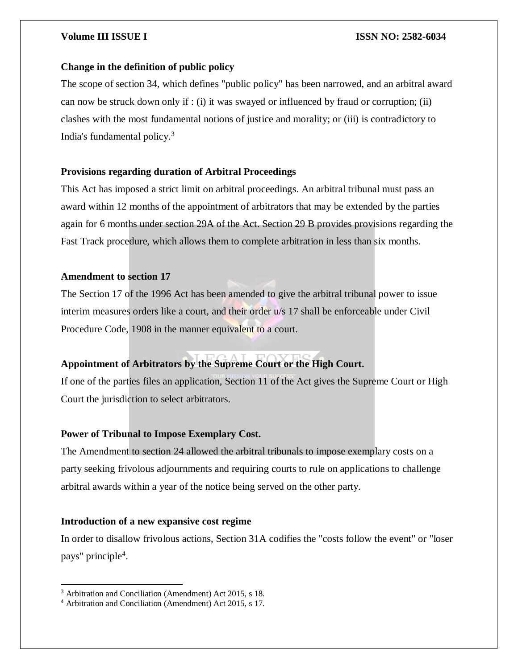### **Change in the definition of public policy**

The scope of section 34, which defines "public policy" has been narrowed, and an arbitral award can now be struck down only if : (i) it was swayed or influenced by fraud or corruption; (ii) clashes with the most fundamental notions of justice and morality; or (iii) is contradictory to India's fundamental policy.<sup>3</sup>

### **Provisions regarding duration of Arbitral Proceedings**

This Act has imposed a strict limit on arbitral proceedings. An arbitral tribunal must pass an award within 12 months of the appointment of arbitrators that may be extended by the parties again for 6 months under section 29A of the Act. Section 29 B provides provisions regarding the Fast Track procedure, which allows them to complete arbitration in less than six months.

### **Amendment to section 17**

The Section 17 of the 1996 Act has been amended to give the arbitral tribunal power to issue interim measures orders like a court, and their order u/s 17 shall be enforceable under Civil Procedure Code, 1908 in the manner equivalent to a court.

### **Appointment of Arbitrators by the Supreme Court or the High Court.**

If one of the parties files an application, Section 11 of the Act gives the Supreme Court or High Court the jurisdiction to select arbitrators.

### **Power of Tribunal to Impose Exemplary Cost.**

The Amendment to section 24 allowed the arbitral tribunals to impose exemplary costs on a party seeking frivolous adjournments and requiring courts to rule on applications to challenge arbitral awards within a year of the notice being served on the other party.

### **Introduction of a new expansive cost regime**

In order to disallow frivolous actions, Section 31A codifies the "costs follow the event" or "loser pays" principle<sup>4</sup>.

 $\overline{\phantom{a}}$ 

<sup>3</sup> Arbitration and Conciliation (Amendment) Act 2015, s 18.

<sup>4</sup> Arbitration and Conciliation (Amendment) Act 2015, s 17.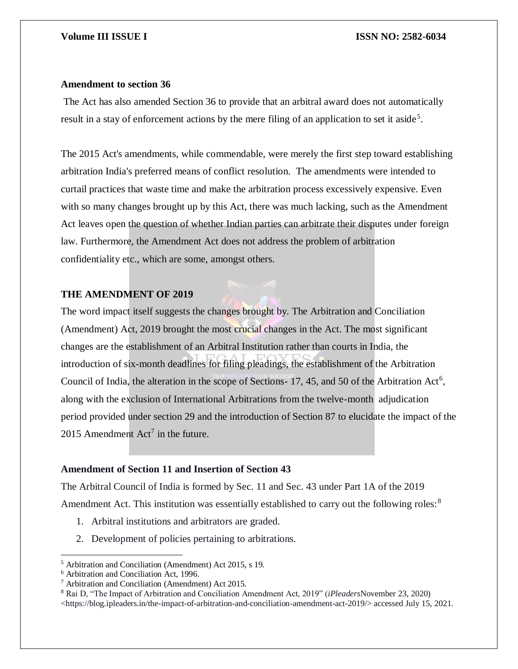### **Amendment to section 36**

The Act has also amended Section 36 to provide that an arbitral award does not automatically result in a stay of enforcement actions by the mere filing of an application to set it aside<sup>5</sup>.

The 2015 Act's amendments, while commendable, were merely the first step toward establishing arbitration India's preferred means of conflict resolution. The amendments were intended to curtail practices that waste time and make the arbitration process excessively expensive. Even with so many changes brought up by this Act, there was much lacking, such as the Amendment Act leaves open the question of whether Indian parties can arbitrate their disputes under foreign law. Furthermore, the Amendment Act does not address the problem of arbitration confidentiality etc., which are some, amongst others.

### **THE AMENDMENT OF 2019**

The word impact itself suggests the changes brought by. The Arbitration and Conciliation (Amendment) Act, 2019 brought the most crucial changes in the Act. The most significant changes are the establishment of an Arbitral Institution rather than courts in India, the introduction of six-month deadlines for filing pleadings, the establishment of the Arbitration Council of India, the alteration in the scope of Sections- 17, 45, and 50 of the Arbitration Act<sup>6</sup>, along with the exclusion of International Arbitrations from the twelve-month adjudication period provided under section 29 and the introduction of Section 87 to elucidate the impact of the 2015 Amendment  $Act^7$  in the future.

### **Amendment of Section 11 and Insertion of Section 43**

The Arbitral Council of India is formed by Sec. 11 and Sec. 43 under Part 1A of the 2019 Amendment Act. This institution was essentially established to carry out the following roles:<sup>8</sup>

- 1. Arbitral institutions and arbitrators are graded.
- 2. Development of policies pertaining to arbitrations.

 $\overline{\phantom{a}}$ 

<https://blog.ipleaders.in/the-impact-of-arbitration-and-conciliation-amendment-act-2019/> accessed July 15, 2021.

<sup>5</sup> Arbitration and Conciliation (Amendment) Act 2015, s 19.

<sup>6</sup> Arbitration and Conciliation Act, 1996.

<sup>7</sup> Arbitration and Conciliation (Amendment) Act 2015.

<sup>8</sup> Rai D, "The Impact of Arbitration and Conciliation Amendment Act, 2019" (*iPleaders*November 23, 2020)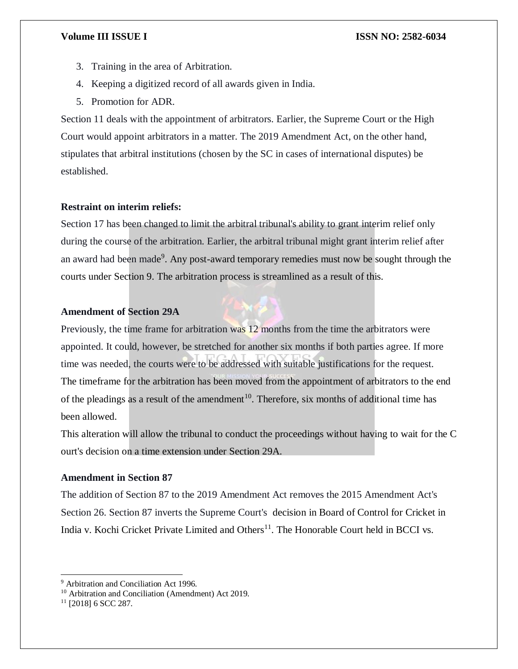- 3. Training in the area of Arbitration.
- 4. Keeping a digitized record of all awards given in India.
- 5. Promotion for ADR.

Section 11 deals with the appointment of arbitrators. Earlier, the Supreme Court or the High Court would appoint arbitrators in a matter. The 2019 Amendment Act, on the other hand, stipulates that arbitral institutions (chosen by the SC in cases of international disputes) be established.

### **Restraint on interim reliefs:**

Section 17 has been changed to limit the arbitral tribunal's ability to grant interim relief only during the course of the arbitration. Earlier, the arbitral tribunal might grant interim relief after an award had been made<sup>9</sup>. Any post-award temporary remedies must now be sought through the courts under Section 9. The arbitration process is streamlined as a result of this.

### **Amendment of Section 29A**

Previously, the time frame for arbitration was 12 months from the time the arbitrators were appointed. It could, however, be stretched for another six months if both parties agree. If more time was needed, the courts were to be addressed with suitable justifications for the request. The timeframe for the arbitration has been moved from the appointment of arbitrators to the end of the pleadings as a result of the amendment<sup>10</sup>. Therefore, six months of additional time has been allowed.

This alteration will allow the tribunal to conduct the proceedings without having to wait for the C ourt's decision on a time extension under Section 29A.

### **Amendment in Section 87**

The addition of Section 87 to the 2019 Amendment Act removes the 2015 Amendment Act's Section 26. Section 87 inverts the Supreme Court's decision in Board of Control for Cricket in India v. Kochi Cricket Private Limited and Others<sup>11</sup>. The Honorable Court held in BCCI vs.

 $\overline{a}$ 

<sup>&</sup>lt;sup>9</sup> Arbitration and Conciliation Act 1996.

<sup>10</sup> Arbitration and Conciliation (Amendment) Act 2019.

 $11$  [2018] 6 SCC 287.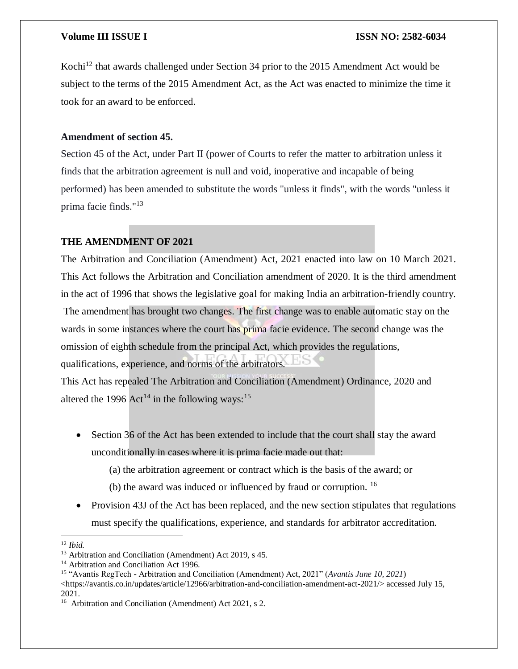Kochi<sup>12</sup> that awards challenged under Section 34 prior to the 2015 Amendment Act would be subject to the terms of the 2015 Amendment Act, as the Act was enacted to minimize the time it took for an award to be enforced.

### **Amendment of section 45.**

Section 45 of the Act, under Part II (power of Courts to refer the matter to arbitration unless it finds that the arbitration agreement is null and void, inoperative and incapable of being performed) has been amended to substitute the words "unless it finds", with the words "unless it prima facie finds."<sup>13</sup>

### **THE AMENDMENT OF 2021**

The Arbitration and Conciliation (Amendment) Act, 2021 enacted into law on 10 March 2021. This Act follows the Arbitration and Conciliation amendment of 2020. It is the third amendment in the act of 1996 that shows the legislative goal for making India an arbitration-friendly country. The amendment has brought two changes. The first change was to enable automatic stay on the wards in some instances where the court has prima facie evidence. The second change was the omission of eighth schedule from the principal Act, which provides the regulations, qualifications, experience, and norms of the arbitrators.

This Act has repealed The Arbitration and Conciliation (Amendment) Ordinance, 2020 and altered the 1996  $Act^{14}$  in the following ways:<sup>15</sup>

- Section 36 of the Act has been extended to include that the court shall stay the award unconditionally in cases where it is prima facie made out that:
	- (a) the arbitration agreement or contract which is the basis of the award; or
	- (b) the award was induced or influenced by fraud or corruption. <sup>16</sup>
- Provision 43J of the Act has been replaced, and the new section stipulates that regulations must specify the qualifications, experience, and standards for arbitrator accreditation.

 $\overline{\phantom{a}}$ <sup>12</sup> *Ibid.*

<sup>&</sup>lt;sup>13</sup> Arbitration and Conciliation (Amendment) Act 2019, s 45.

<sup>&</sup>lt;sup>14</sup> Arbitration and Conciliation Act 1996.

<sup>15</sup> "Avantis RegTech - Arbitration and Conciliation (Amendment) Act, 2021" (*Avantis June 10, 2021*)

 $\langle$ https://avantis.co.in/updates/article/12966/arbitration-and-conciliation-amendment-act-2021/ $>$  accessed July 15, 2021.

<sup>&</sup>lt;sup>16</sup> Arbitration and Conciliation (Amendment) Act 2021, s 2.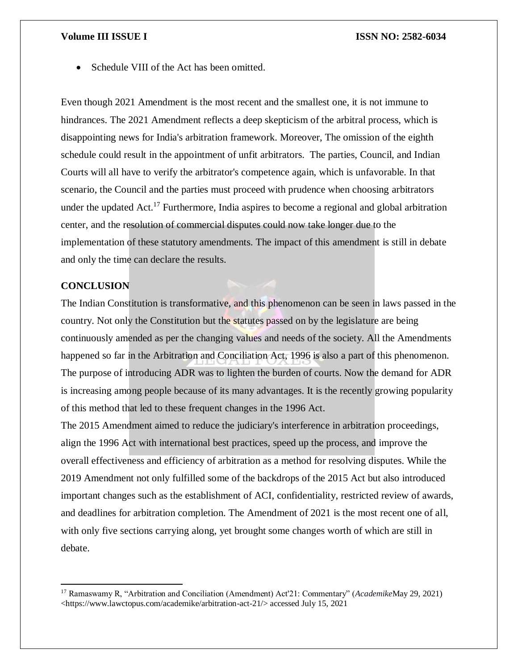• Schedule VIII of the Act has been omitted.

Even though 2021 Amendment is the most recent and the smallest one, it is not immune to hindrances. The 2021 Amendment reflects a deep skepticism of the arbitral process, which is disappointing news for India's arbitration framework. Moreover, The omission of the eighth schedule could result in the appointment of unfit arbitrators. The parties, Council, and Indian Courts will all have to verify the arbitrator's competence again, which is unfavorable. In that scenario, the Council and the parties must proceed with prudence when choosing arbitrators under the updated Act.<sup>17</sup> Furthermore, India aspires to become a regional and global arbitration center, and the resolution of commercial disputes could now take longer due to the implementation of these statutory amendments. The impact of this amendment is still in debate and only the time can declare the results.

### **CONCLUSION**

 $\overline{\phantom{a}}$ 

The Indian Constitution is transformative, and this phenomenon can be seen in laws passed in the country. Not only the Constitution but the statutes passed on by the legislature are being continuously amended as per the changing values and needs of the society. All the Amendments happened so far in the Arbitration and Conciliation Act, 1996 is also a part of this phenomenon. The purpose of introducing ADR was to lighten the burden of courts. Now the demand for ADR is increasing among people because of its many advantages. It is the recently growing popularity of this method that led to these frequent changes in the 1996 Act.

The 2015 Amendment aimed to reduce the judiciary's interference in arbitration proceedings, align the 1996 Act with international best practices, speed up the process, and improve the overall effectiveness and efficiency of arbitration as a method for resolving disputes. While the 2019 Amendment not only fulfilled some of the backdrops of the 2015 Act but also introduced important changes such as the establishment of ACI, confidentiality, restricted review of awards, and deadlines for arbitration completion. The Amendment of 2021 is the most recent one of all, with only five sections carrying along, yet brought some changes worth of which are still in debate.

<sup>17</sup> Ramaswamy R, "Arbitration and Conciliation (Amendment) Act'21: Commentary" (*Academike*May 29, 2021) <https://www.lawctopus.com/academike/arbitration-act-21/> accessed July 15, 2021